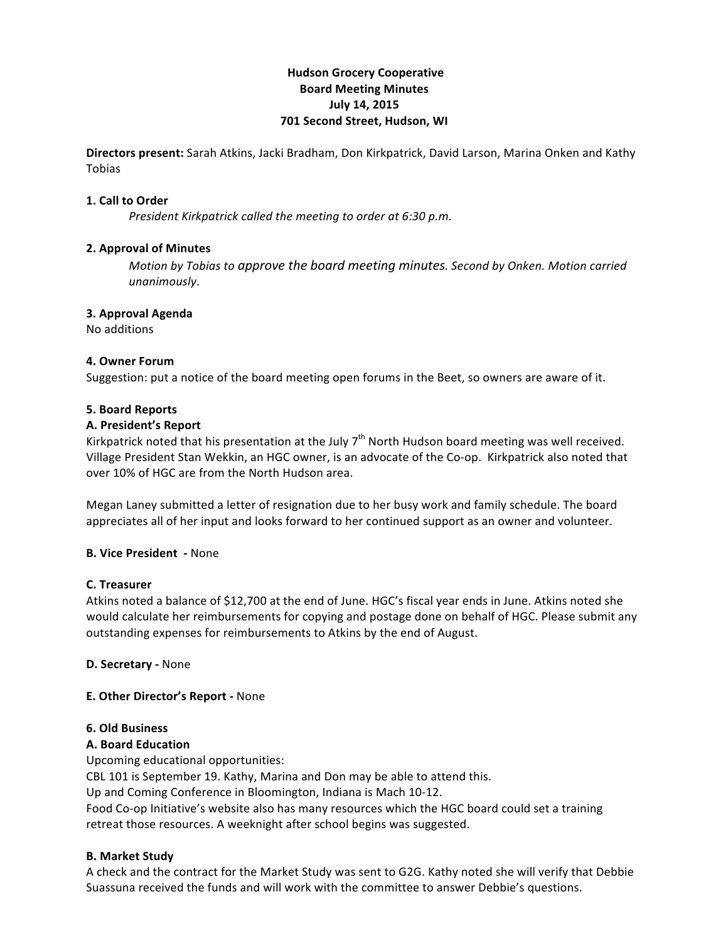# **Hudson!Grocery!Cooperative Board!Meeting!Minutes July 14, 2015 701 Second Street, Hudson, WI**

**Directors present:** Sarah Atkins, Jacki Bradham, Don Kirkpatrick, David Larson, Marina Onken and Kathy Tobias

### **1. Call to Order**

*President Kirkpatrick called the meeting to order at 6:30 p.m.* 

### **2. Approval of Minutes**

*Motion)by)Tobias to)approve)the)board)meeting)minutes.)Second)by)Onken.)Motion)carried) unanimously*.

### **3. Approval Agenda**

No!additions

### **4. Owner Forum**

Suggestion: put a notice of the board meeting open forums in the Beet, so owners are aware of it.

### **5.!Board!Reports**

### **A.!President's!Report!**

Kirkpatrick noted that his presentation at the July  $7<sup>th</sup>$  North Hudson board meeting was well received. Village President Stan Wekkin, an HGC owner, is an advocate of the Co-op. Kirkpatrick also noted that over 10% of HGC are from the North Hudson area.

Megan Laney submitted a letter of resignation due to her busy work and family schedule. The board appreciates all of her input and looks forward to her continued support as an owner and volunteer.

## **B. Vice President - None**

#### **C.!Treasurer**

Atkins noted a balance of \$12,700 at the end of June. HGC's fiscal year ends in June. Atkins noted she would calculate her reimbursements for copying and postage done on behalf of HGC. Please submit any outstanding expenses for reimbursements to Atkins by the end of August.

#### **D. Secretary - None**

## **E. Other Director's Report - None**

#### **6.!Old!Business**

## **A.!Board!Education**

Upcoming educational opportunities:

CBL 101 is September 19. Kathy, Marina and Don may be able to attend this.

Up and Coming Conference in Bloomington, Indiana is Mach 10-12.

Food Co-op Initiative's website also has many resources which the HGC board could set a training retreat those resources. A weeknight after school begins was suggested.

## **B. Market Study**

A check and the contract for the Market Study was sent to G2G. Kathy noted she will verify that Debbie Suassuna received the funds and will work with the committee to answer Debbie's questions.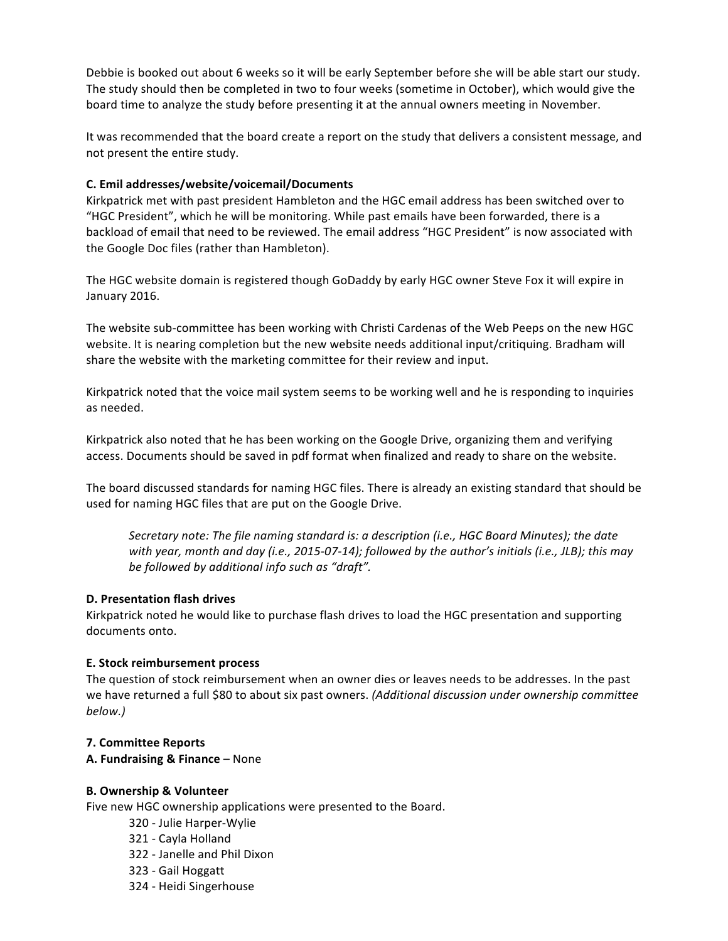Debbie is booked out about 6 weeks so it will be early September before she will be able start our study. The study should then be completed in two to four weeks (sometime in October), which would give the board time to analyze the study before presenting it at the annual owners meeting in November.

It was recommended that the board create a report on the study that delivers a consistent message, and not present the entire study.

## **C.!Emil!addresses/website/voicemail/Documents!**

Kirkpatrick met with past president Hambleton and the HGC email address has been switched over to "HGC President", which he will be monitoring. While past emails have been forwarded, there is a backload of email that need to be reviewed. The email address "HGC President" is now associated with the Google Doc files (rather than Hambleton).

The HGC website domain is registered though GoDaddy by early HGC owner Steve Fox it will expire in January 2016.

The website sub-committee has been working with Christi Cardenas of the Web Peeps on the new HGC website. It is nearing completion but the new website needs additional input/critiquing. Bradham will share the website with the marketing committee for their review and input.

Kirkpatrick noted that the voice mail system seems to be working well and he is responding to inquiries as needed.

Kirkpatrick also noted that he has been working on the Google Drive, organizing them and verifying access. Documents should be saved in pdf format when finalized and ready to share on the website.

The board discussed standards for naming HGC files. There is already an existing standard that should be used for naming HGC files that are put on the Google Drive.

Secretary note: The file naming standard is: a description (i.e., HGC Board Minutes); the date *with year, month and day (i.e., 2015-07-14); followed by the author's initials (i.e., JLB); this may* be followed by additional info such as "draft".

## **D. Presentation flash drives**

Kirkpatrick noted he would like to purchase flash drives to load the HGC presentation and supporting documents onto.

## **E. Stock reimbursement process**

The question of stock reimbursement when an owner dies or leaves needs to be addresses. In the past we have returned a full \$80 to about six past owners. *(Additional discussion under ownership committee*) *below.)*

## **7. Committee!Reports**

**A. Fundraising & Finance** – None

## **B.!Ownership &!Volunteer**

Five new HGC ownership applications were presented to the Board.

- 320 Julie Harper-Wylie
- 321 Cayla Holland
- 322 Janelle and Phil Dixon
- 323 Gail Hoggatt
- 324 Heidi Singerhouse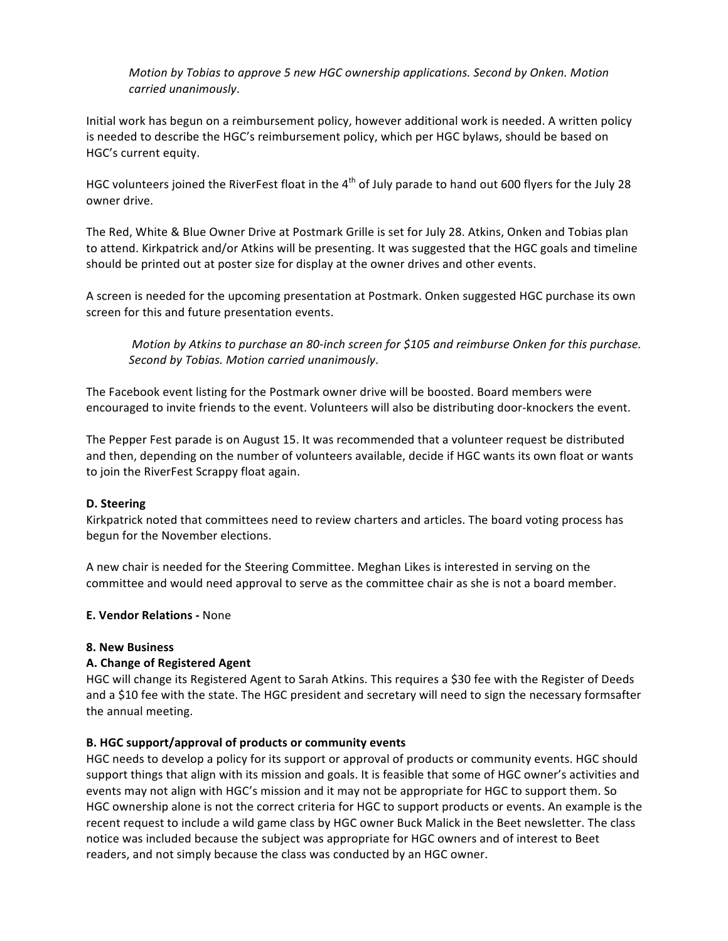*Motion by Tobias to approve 5 new HGC ownership applications. Second by Onken. Motion carried)unanimously*.

Initial work has begun on a reimbursement policy, however additional work is needed. A written policy is needed to describe the HGC's reimbursement policy, which per HGC bylaws, should be based on HGC's current equity.

HGC volunteers joined the RiverFest float in the  $4<sup>th</sup>$  of July parade to hand out 600 flyers for the July 28 owner drive.

The Red, White & Blue Owner Drive at Postmark Grille is set for July 28. Atkins, Onken and Tobias plan to attend. Kirkpatrick and/or Atkins will be presenting. It was suggested that the HGC goals and timeline should be printed out at poster size for display at the owner drives and other events.

A screen is needed for the upcoming presentation at Postmark. Onken suggested HGC purchase its own screen for this and future presentation events.

*Motion by Atkins to purchase an 80-inch screen for \$105 and reimburse Onken for this purchase. Second)by)Tobias.)Motion)carried)unanimously*.

The Facebook event listing for the Postmark owner drive will be boosted. Board members were encouraged to invite friends to the event. Volunteers will also be distributing door-knockers the event.

The Pepper Fest parade is on August 15. It was recommended that a volunteer request be distributed and then, depending on the number of volunteers available, decide if HGC wants its own float or wants to join the RiverFest Scrappy float again.

## D. Steering

Kirkpatrick noted that committees need to review charters and articles. The board voting process has begun for the November elections.

A new chair is needed for the Steering Committee. Meghan Likes is interested in serving on the committee and would need approval to serve as the committee chair as she is not a board member.

#### **E. Vendor Relations - None**

## **8.!New Business**

## **A.!Change!of!Registered Agent!**

HGC will change its Registered Agent to Sarah Atkins. This requires a \$30 fee with the Register of Deeds and a \$10 fee with the state. The HGC president and secretary will need to sign the necessary formsafter the annual meeting.

#### **B. HGC support/approval of products or community events**

HGC needs to develop a policy for its support or approval of products or community events. HGC should support things that align with its mission and goals. It is feasible that some of HGC owner's activities and events may not align with HGC's mission and it may not be appropriate for HGC to support them. So HGC ownership alone is not the correct criteria for HGC to support products or events. An example is the recent request to include a wild game class by HGC owner Buck Malick in the Beet newsletter. The class notice was included because the subject was appropriate for HGC owners and of interest to Beet readers, and not simply because the class was conducted by an HGC owner.